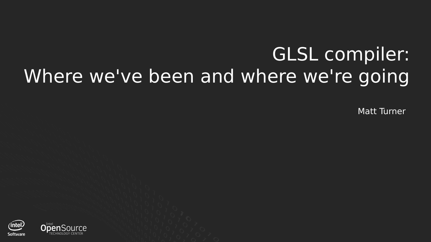# GLSL compiler: Where we've been and where we're going

Matt Turner

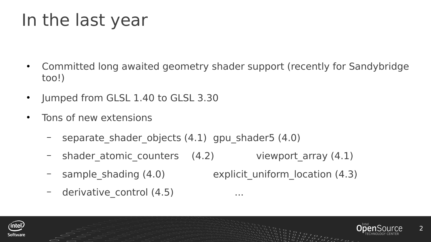# In the last year

- Committed long awaited geometry shader support (recently for Sandybridge too!)
- Jumped from GLSL 1.40 to GLSL 3.30
- Tons of new extensions
	- separate shader objects  $(4.1)$  gpu shader5  $(4.0)$
	- shader atomic counters  $(4.2)$  viewport array  $(4.1)$
	- sample shading (4.0) explicit uniform location (4.3)
	- derivative control (4.5) ...





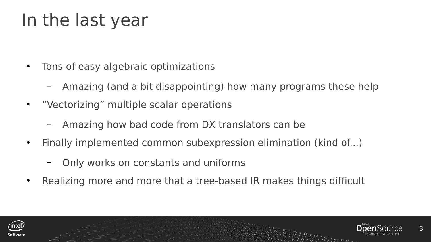### In the last year

- Tons of easy algebraic optimizations
	- Amazing (and a bit disappointing) how many programs these help
- "Vectorizing" multiple scalar operations
	- Amazing how bad code from DX translators can be
- Finally implemented common subexpression elimination (kind of...)
	- Only works on constants and uniforms
- Realizing more and more that a tree-based IR makes things difficult



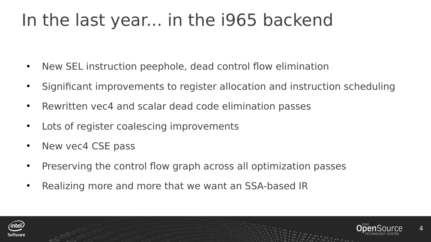### In the last year... in the i965 backend

- New SEL instruction peephole, dead control flow elimination
- Significant improvements to register allocation and instruction scheduling
- Rewritten vec4 and scalar dead code elimination passes
- Lots of register coalescing improvements
- New yec4 CSE pass
- Preserving the control flow graph across all optimization passes
- Realizing more and more that we want an SSA-based IR



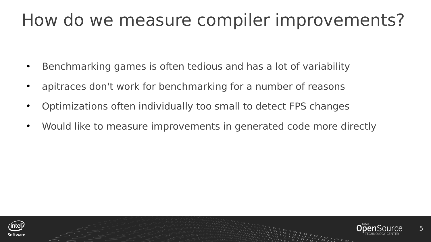### How do we measure compiler improvements?

- Benchmarking games is often tedious and has a lot of variability
- apitraces don't work for benchmarking for a number of reasons
- Optimizations often individually too small to detect FPS changes
- Would like to measure improvements in generated code more directly



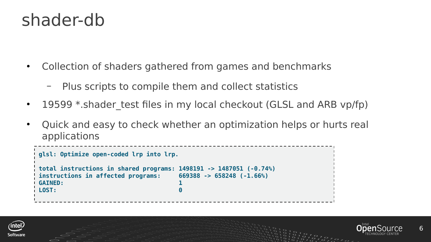#### shader-db

- Collection of shaders gathered from games and benchmarks
	- Plus scripts to compile them and collect statistics
- 19599  $*$ .shader test files in my local checkout (GLSL and ARB vp/fp)
- Quick and easy to check whether an optimization helps or hurts real applications

```
glsl: Optimize open-coded lrp into lrp.
total instructions in shared programs: 1498191 -> 1487051 (-0.74%)
instructions in affected programs: 669388 -> 658248 (-1.66%)
GAINED: 1 
LOST: 0
```


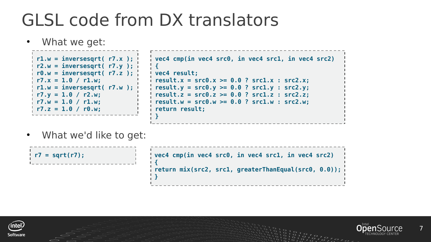# GLSL code from DX translators

What we get:



• What we'd like to get:

| $  r7 = sqrt(r7);$ | $\sqrt{1}$ vec4 cmp(in vec4 src0, in vec4 src1, in vec4 src2)      |
|--------------------|--------------------------------------------------------------------|
|                    | $\frac{1}{2}$ return mix(src2, src1, greaterThanEqual(src0, 0.0)); |



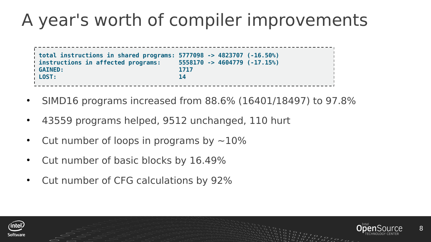# A year's worth of compiler improvements

**total instructions in shared programs: 5777098 -> 4823707 (-16.50%) instructions in affected programs: 5558170 -> 4604779 (-17.15%) GAINED: 1717 LOST: 14**

- SIMD16 programs increased from 88.6% (16401/18497) to 97.8%
- 43559 programs helped, 9512 unchanged, 110 hurt
- Cut number of loops in programs by  $\sim$ 10%
- Cut number of basic blocks by 16.49%
- Cut number of CFG calculations by 92%



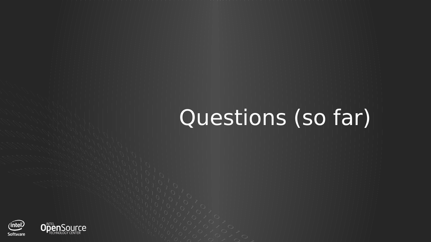# Questions (so far)

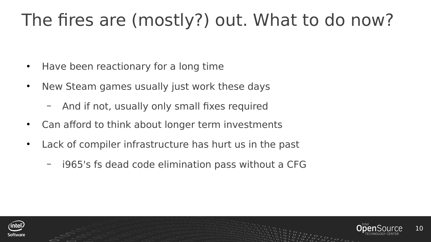# The fires are (mostly?) out. What to do now?

- Have been reactionary for a long time
- New Steam games usually just work these days
	- And if not, usually only small fixes required
- Can afford to think about longer term investments
- Lack of compiler infrastructure has hurt us in the past
	- i965's fs dead code elimination pass without a CFG



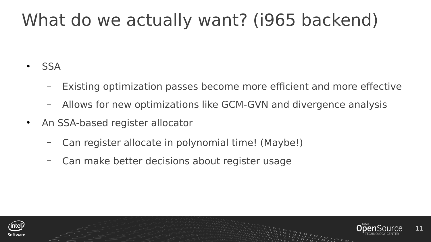### What do we actually want? (i965 backend)

- **SSA** 
	- Existing optimization passes become more efficient and more effective
	- Allows for new optimizations like GCM-GVN and divergence analysis
- An SSA-based register allocator
	- Can register allocate in polynomial time! (Maybe!)
	- Can make better decisions about register usage



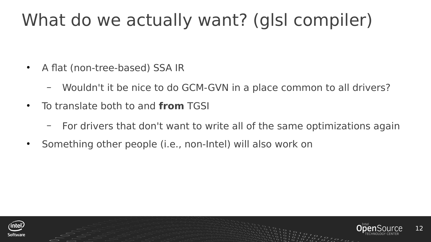### What do we actually want? (glsl compiler)

- A flat (non-tree-based) SSA IR
	- Wouldn't it be nice to do GCM-GVN in a place common to all drivers?
- To translate both to and **from** TGSI
	- For drivers that don't want to write all of the same optimizations again
- Something other people (i.e., non-Intel) will also work on